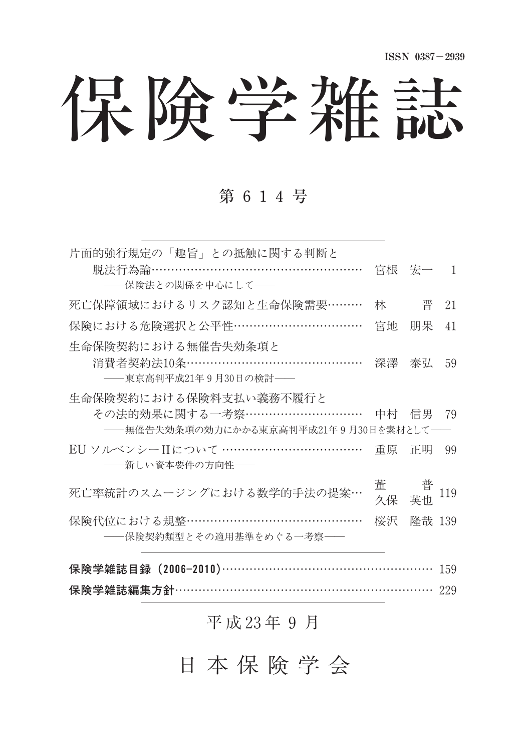保険学雑誌

### 第 614号

| 片面的強行規定の「趣旨」との抵触に関する判断と                      |       |         |     |  |
|----------------------------------------------|-------|---------|-----|--|
| 脱法行為論………………………………………………                      |       | 宮根 宏一 1 |     |  |
| ――保険法との関係を中心にして――                            |       |         |     |  |
| 死亡保障領域におけるリスク認知と生命保険需要………                    | 林     | 晋       | 21  |  |
| 保険における危険選択と公平性……………………………                    | 宮地    | 朋果      | 41  |  |
| 生命保険契約における無催告失効条項と                           |       |         |     |  |
| 消費者契約法10条………………………………………                     |       | 深澤 泰弘   | 59  |  |
| ——東京高判平成21年9月30日の検討——                        |       |         |     |  |
| 生命保険契約における保険料支払い義務不履行と                       |       |         |     |  |
| その法的効果に関する一考察…………………………                      |       | 中村 信男   | 79  |  |
| ――無催告失効条項の効力にかかる東京高判平成21年9月30日を素材として――       |       |         |     |  |
| EU ソルベンシーIIについて ………………………………                 | 重原 正明 |         | 99  |  |
| ――新しい資本要件の方向性――                              |       |         |     |  |
| 死亡率統計のスムージングにおける数学的手法の提案…                    | 董     | 普       | 119 |  |
|                                              | 久保    | 英巾      |     |  |
| 保険代位における規整………………………………………                    | 桜沢    | 降哉 139  |     |  |
| ――保険契約類型とその適用基準をめぐる一考察――                     |       |         |     |  |
|                                              |       |         |     |  |
| 保険学雑誌目録 (2006-2010)………………………………………………<br>159 |       |         |     |  |
| 保険学雑誌編集方針………………………………………………………… 229          |       |         |     |  |

### 平 成 23年 9 月

日 本 保 険 学 会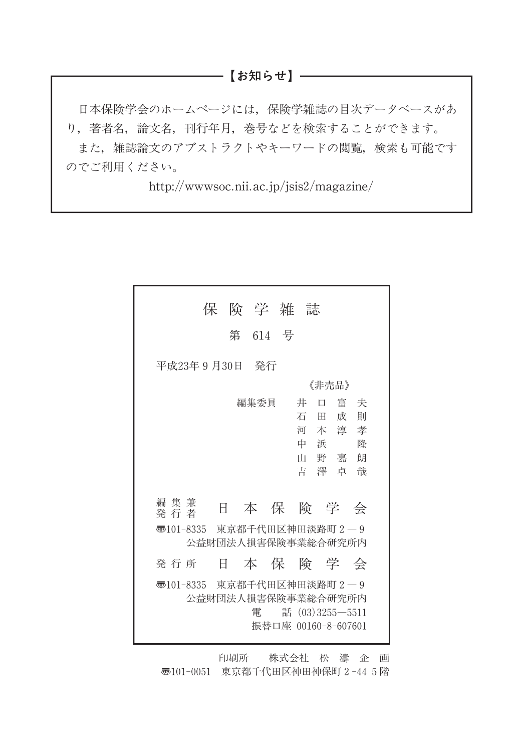### ───【お知らせ】─

日本保険学会のホームページには,保険学雑誌の目次データベースがあ り,著者名,論文名,刊行年月,巻号などを検索することができます。 また,雑誌論文のアブストラクトやキーワードの閲覧,検索も可能です のでご利用ください。

http://wwwsoc.nii.ac.jp/jsis2/magazine/

| 保 険 学 雑 誌                                                                                                                                            |
|------------------------------------------------------------------------------------------------------------------------------------------------------|
| 第 614 号                                                                                                                                              |
| 平成23年9月30日 発行                                                                                                                                        |
| 《非壳品》                                                                                                                                                |
| 編集委員<br>富夫<br>井<br>$\Box$<br>一成<br>一則<br>石<br>H.<br>河本淳孝<br>浜<br>中<br>降<br>山野嘉朗<br>吉澤卓哉<br>編集兼<br>本保険学会<br>日<br>発 行 者<br>न्छ101-8335 東京都千代田区神田淡路町2―9 |
| 公益財団法人捐害保険事業総合研究所内                                                                                                                                   |
| 本保険学会<br>Ħ.<br>発行所                                                                                                                                   |
| ◇ 101-8335 東京都千代田区神田淡路町 2 ─ 9<br>公益財団法人捐害保険事業総合研究所内<br>雷<br>話 $(03)3255 - 5511$<br>振替口座 00160-8-607601                                               |

印刷所 株式会社 松 濤 企 画 〠101-0051 東京都千代田区神田神保町2-445階